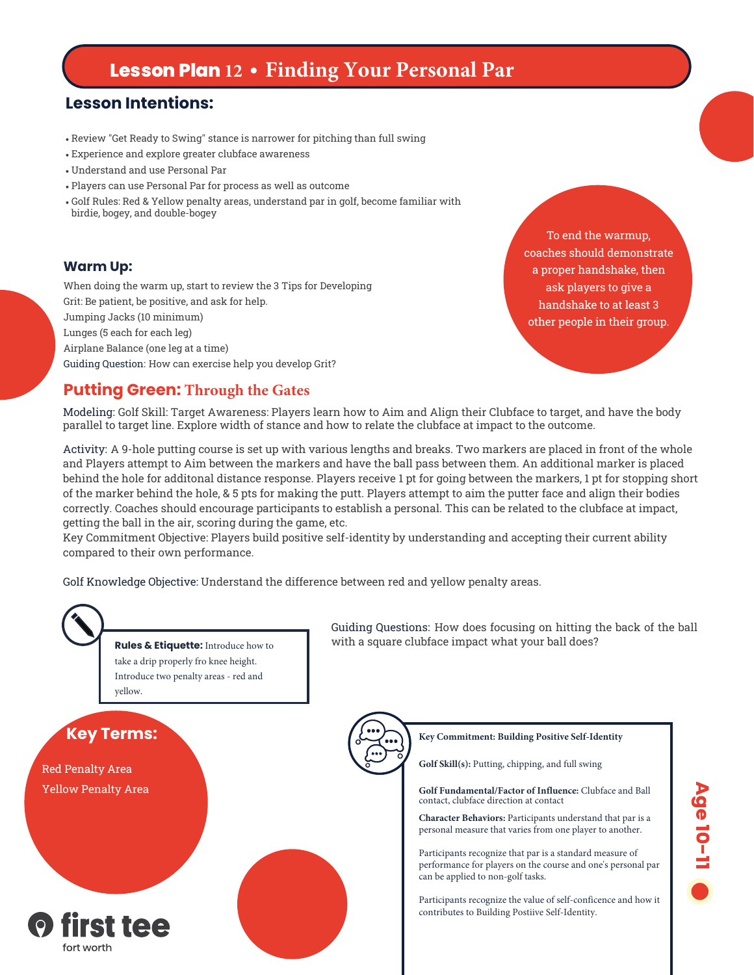# **Lesson Plan 12 • Finding Your Personal Par**

### **Lesson Intentions:**

- Review "Get Ready to Swing" stance is narrower for pitching than full swing
- Experience and explore greater clubface awareness
- Understand and use Personal Par
- Players can use Personal Par for process as well as outcome
- Golf Rules: Red & Yellow penalty areas, understand par in golf, become familiar with birdie, bogey, and double-bogey

#### **Warm Up:**

When doing the warm up, start to review the 3 Tips for Developing Grit: Be patient, be positive, and ask for help. Jumping Jacks (10 minimum) Lunges (5 each for each leg) Airplane Balance (one leg at a time) Guiding Question: How can exercise help you develop Grit?

To end the warmup, coaches should demonstrate a proper handshake, then ask players to give a handshake to at least 3 other people in their group.

#### **Putting Green: Through the Gates**

Modeling: Golf Skill: Target Awareness: Players learn how to Aim and Align their Clubface to target, and have the body parallel to target line. Explore width of stance and how to relate the clubface at impact to the outcome.

Activity: A 9-hole putting course is set up with various lengths and breaks. Two markers are placed in front of the whole and Players attempt to Aim between the markers and have the ball pass between them. An additional marker is placed behind the hole for additonal distance response. Players receive 1 pt for going between the markers, 1 pt for stopping short of the marker behind the hole, & 5 pts for making the putt. Players attempt to aim the putter face and align their bodies correctly. Coaches should encourage participants to establish a personal. This can be related to the clubface at impact, getting the ball in the air, scoring during the game, etc.

Key Commitment Objective: Players build positive self-identity by understanding and accepting their current ability compared to their own performance.

Golf Knowledge Objective: Understand the difference between red and yellow penalty areas.